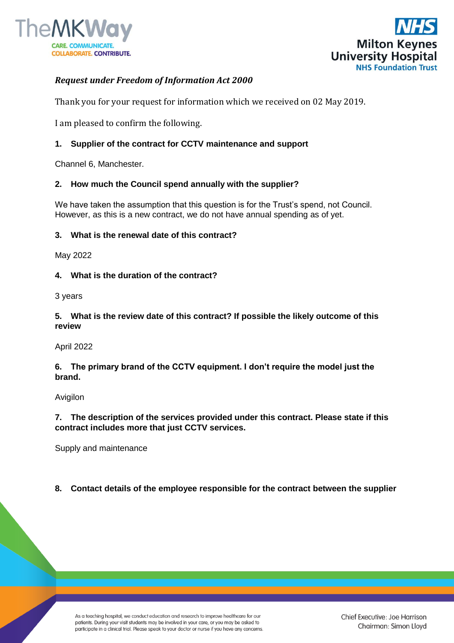



# *Request under Freedom of Information Act 2000*

Thank you for your request for information which we received on 02 May 2019.

I am pleased to confirm the following.

## **1. Supplier of the contract for CCTV maintenance and support**

Channel 6, Manchester.

## **2. How much the Council spend annually with the supplier?**

We have taken the assumption that this question is for the Trust's spend, not Council. However, as this is a new contract, we do not have annual spending as of yet.

### **3. What is the renewal date of this contract?**

May 2022

### **4. What is the duration of the contract?**

3 years

**5. What is the review date of this contract? If possible the likely outcome of this review**

#### April 2022

**6. The primary brand of the CCTV equipment. I don't require the model just the brand.**

Avigilon

**7. The description of the services provided under this contract. Please state if this contract includes more that just CCTV services.**

Supply and maintenance

## **8. Contact details of the employee responsible for the contract between the supplier**

As a teaching hospital, we conduct education and research to improve healthcare for our patients. During your visit students may be involved in your care, or you may be asked to participate in a clinical trial. Please speak to your doctor or nurse if you have any concerns.